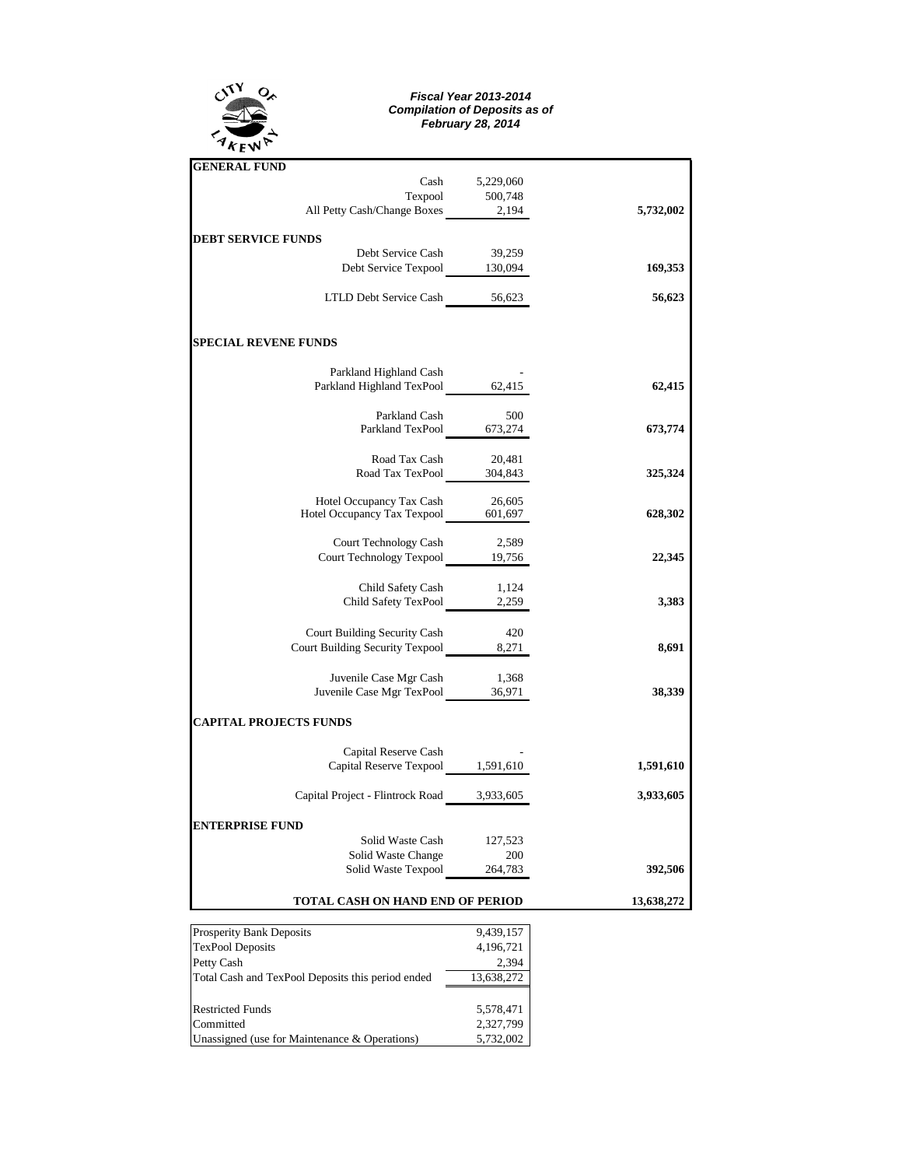

## *Fiscal Year 2013-2014 Compilation of Deposits as of February 28, 2014*

| <b>GENERAL FUND</b>                                                    |                |           |
|------------------------------------------------------------------------|----------------|-----------|
|                                                                        | Cash 5,229,060 |           |
| Texpool 500,748<br>All Petty Cash/Change Boxes 2,194                   |                |           |
|                                                                        |                | 5,732,002 |
| <b>DEBT SERVICE FUNDS</b>                                              |                |           |
| Debt Service Cash                                                      | 39,259         |           |
| Debt Service Texpool 130,094                                           |                | 169,353   |
| LTLD Debt Service Cash 56,623                                          |                | 56,623    |
| <b>SPECIAL REVENE FUNDS</b>                                            |                |           |
| Parkland Highland Cash                                                 |                |           |
| Parkland Highland TexPool 62,415                                       |                | 62,415    |
|                                                                        |                |           |
| Parkland Cash                                                          | - 500          |           |
| Parkland TexPool 673,274                                               |                | 673,774   |
| Road Tax Cash                                                          | 20,481         |           |
| Road Tax TexPool 304,843                                               |                | 325,324   |
| Hotel Occupancy Tax Cash                                               | 26,605         |           |
| Hotel Occupancy Tax Cash 26,605<br>Hotel Occupancy Tax Texpool 601,697 |                | 628,302   |
|                                                                        |                |           |
| Court Technology Cash                                                  | 2,589          |           |
| Court Technology Texpool 19,756                                        |                | 22,345    |
| Child Safety Cash                                                      | 1,124          |           |
| Child Safety TexPool 2,259                                             |                | 3,383     |
|                                                                        |                |           |
| Court Building Security Cash<br>Court Building Security Texpool 8,271  | 420            | 8,691     |
|                                                                        |                |           |
|                                                                        |                |           |
| Juvenile Case Mgr Cash 1,368<br>Juvenile Case Mgr TexPool 36,971       |                | 38,339    |
| <b>CAPITAL PROJECTS FUNDS</b>                                          |                |           |
| Capital Reserve Cash                                                   |                |           |
| Capital Reserve Texpool 1,591,610                                      |                | 1,591,610 |
| Capital Project - Flintrock Road 3,933,605                             |                | 3,933,605 |
|                                                                        |                |           |
| <b>ENTERPRISE FUND</b>                                                 |                |           |
| Solid Waste Cash 127,523                                               |                |           |
| Solid Waste Change<br>Solid Waste Texpool 264,783                      | 200            | 392,506   |
|                                                                        |                |           |
| <b>TOTAL CASH ON HAND END OF PERIOD</b>                                | 13,638,272     |           |

| <b>Prosperity Bank Deposits</b>                   | 9,439,157  |  |  |  |
|---------------------------------------------------|------------|--|--|--|
| <b>TexPool Deposits</b>                           | 4,196,721  |  |  |  |
| Petty Cash                                        | 2.394      |  |  |  |
| Total Cash and TexPool Deposits this period ended | 13,638,272 |  |  |  |
|                                                   |            |  |  |  |
| <b>Restricted Funds</b>                           | 5,578,471  |  |  |  |
| Committed                                         | 2,327,799  |  |  |  |
| Unassigned (use for Maintenance & Operations)     | 5,732,002  |  |  |  |